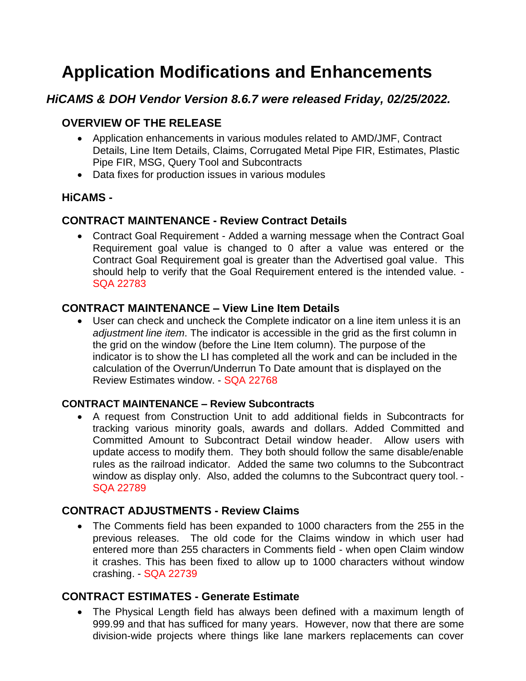# **Application Modifications and Enhancements**

# *HiCAMS & DOH Vendor Version 8.6.7 were released Friday, 02/25/2022.*

## **OVERVIEW OF THE RELEASE**

- Application enhancements in various modules related to AMD/JMF, Contract Details, Line Item Details, Claims, Corrugated Metal Pipe FIR, Estimates, Plastic Pipe FIR, MSG, Query Tool and Subcontracts
- Data fixes for production issues in various modules

#### **HiCAMS -**

#### **CONTRACT MAINTENANCE - Review Contract Details**

• Contract Goal Requirement - Added a warning message when the Contract Goal Requirement goal value is changed to 0 after a value was entered or the Contract Goal Requirement goal is greater than the Advertised goal value. This should help to verify that the Goal Requirement entered is the intended value. - SQA 22783

#### **CONTRACT MAINTENANCE – View Line Item Details**

• User can check and uncheck the Complete indicator on a line item unless it is an *adjustment line item*. The indicator is accessible in the grid as the first column in the grid on the window (before the Line Item column). The purpose of the indicator is to show the LI has completed all the work and can be included in the calculation of the Overrun/Underrun To Date amount that is displayed on the Review Estimates window. - SQA 22768

#### **CONTRACT MAINTENANCE – Review Subcontracts**

• A request from Construction Unit to add additional fields in Subcontracts for tracking various minority goals, awards and dollars. Added Committed and Committed Amount to Subcontract Detail window header. Allow users with update access to modify them. They both should follow the same disable/enable rules as the railroad indicator. Added the same two columns to the Subcontract window as display only. Also, added the columns to the Subcontract query tool. - SQA 22789

## **CONTRACT ADJUSTMENTS - Review Claims**

• The Comments field has been expanded to 1000 characters from the 255 in the previous releases. The old code for the Claims window in which user had entered more than 255 characters in Comments field - when open Claim window it crashes. This has been fixed to allow up to 1000 characters without window crashing. - SQA 22739

#### **CONTRACT ESTIMATES - Generate Estimate**

• The Physical Length field has always been defined with a maximum length of 999.99 and that has sufficed for many years. However, now that there are some division-wide projects where things like lane markers replacements can cover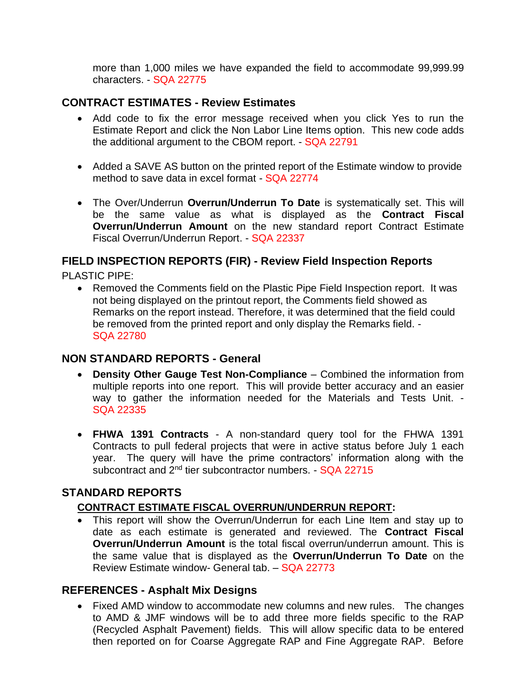more than 1,000 miles we have expanded the field to accommodate 99,999.99 characters. - SQA 22775

#### **CONTRACT ESTIMATES - Review Estimates**

- Add code to fix the error message received when you click Yes to run the Estimate Report and click the Non Labor Line Items option. This new code adds the additional argument to the CBOM report. - SQA 22791
- Added a SAVE AS button on the printed report of the Estimate window to provide method to save data in excel format - SQA 22774
- The Over/Underrun **Overrun/Underrun To Date** is systematically set. This will be the same value as what is displayed as the **Contract Fiscal Overrun/Underrun Amount** on the new standard report Contract Estimate Fiscal Overrun/Underrun Report. - SQA 22337

# **FIELD INSPECTION REPORTS (FIR) - Review Field Inspection Reports**

PLASTIC PIPE:

• Removed the Comments field on the Plastic Pipe Field Inspection report. It was not being displayed on the printout report, the Comments field showed as Remarks on the report instead. Therefore, it was determined that the field could be removed from the printed report and only display the Remarks field. - SQA 22780

#### **NON STANDARD REPORTS - General**

- **Density Other Gauge Test Non-Compliance** Combined the information from multiple reports into one report. This will provide better accuracy and an easier way to gather the information needed for the Materials and Tests Unit. - SQA 22335
- **FHWA 1391 Contracts** A non-standard query tool for the FHWA 1391 Contracts to pull federal projects that were in active status before July 1 each year. The query will have the prime contractors' information along with the subcontract and 2<sup>nd</sup> tier subcontractor numbers. - SQA 22715

## **STANDARD REPORTS**

#### **CONTRACT ESTIMATE FISCAL OVERRUN/UNDERRUN REPORT:**

• This report will show the Overrun/Underrun for each Line Item and stay up to date as each estimate is generated and reviewed. The **Contract Fiscal Overrun/Underrun Amount** is the total fiscal overrun/underrun amount. This is the same value that is displayed as the **Overrun/Underrun To Date** on the Review Estimate window- General tab. – SQA 22773

#### **REFERENCES - Asphalt Mix Designs**

• Fixed AMD window to accommodate new columns and new rules. The changes to AMD & JMF windows will be to add three more fields specific to the RAP (Recycled Asphalt Pavement) fields. This will allow specific data to be entered then reported on for Coarse Aggregate RAP and Fine Aggregate RAP. Before